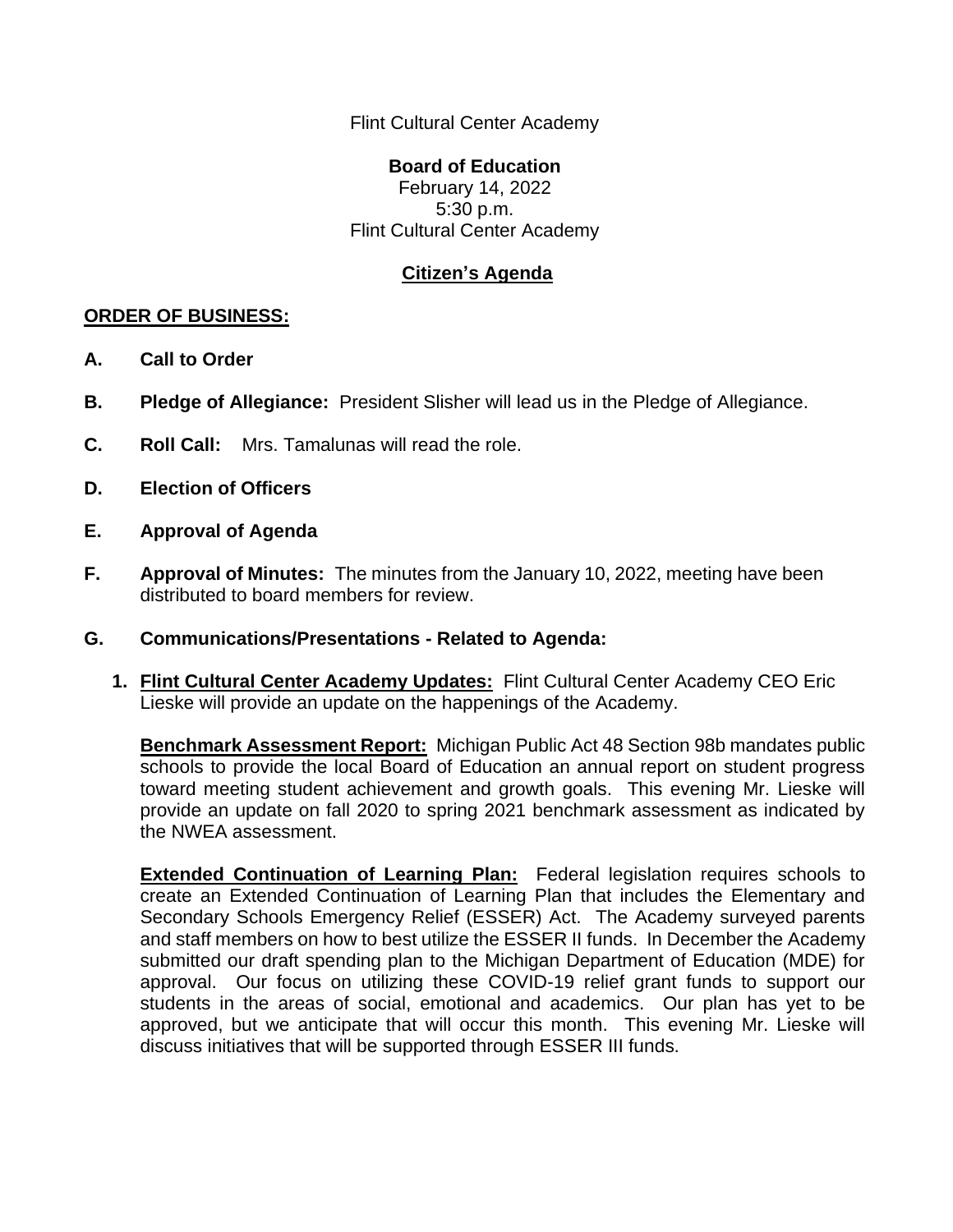Flint Cultural Center Academy

## **Board of Education**

February 14, 2022 5:30 p.m. Flint Cultural Center Academy

## **Citizen's Agenda**

## **ORDER OF BUSINESS:**

- **A. Call to Order**
- **B. Pledge of Allegiance:** President Slisher will lead us in the Pledge of Allegiance.
- **C. Roll Call:** Mrs. Tamalunas will read the role.
- **D. Election of Officers**
- **E. Approval of Agenda**
- **F. Approval of Minutes:** The minutes from the January 10, 2022, meeting have been distributed to board members for review.
- **G. Communications/Presentations - Related to Agenda:**
	- **1. Flint Cultural Center Academy Updates:** Flint Cultural Center Academy CEO Eric Lieske will provide an update on the happenings of the Academy.

**Benchmark Assessment Report:** Michigan Public Act 48 Section 98b mandates public schools to provide the local Board of Education an annual report on student progress toward meeting student achievement and growth goals. This evening Mr. Lieske will provide an update on fall 2020 to spring 2021 benchmark assessment as indicated by the NWEA assessment.

**Extended Continuation of Learning Plan:** Federal legislation requires schools to create an Extended Continuation of Learning Plan that includes the Elementary and Secondary Schools Emergency Relief (ESSER) Act. The Academy surveyed parents and staff members on how to best utilize the ESSER II funds. In December the Academy submitted our draft spending plan to the Michigan Department of Education (MDE) for approval. Our focus on utilizing these COVID-19 relief grant funds to support our students in the areas of social, emotional and academics. Our plan has yet to be approved, but we anticipate that will occur this month. This evening Mr. Lieske will discuss initiatives that will be supported through ESSER III funds.